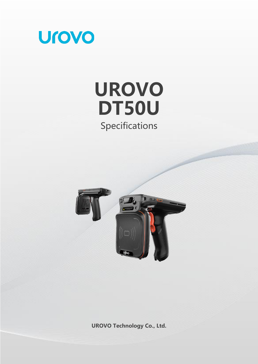

# **UROVO DT50U** Specifications



**UROVO Technology Co., Ltd.**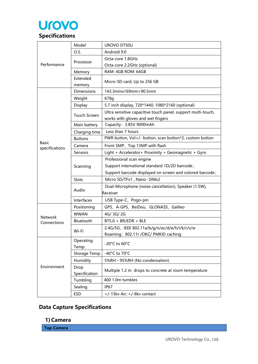

|                               | Model                 | UROVO DT50U                                                                                       |
|-------------------------------|-----------------------|---------------------------------------------------------------------------------------------------|
|                               | O.S.                  | Android 9.0                                                                                       |
| Performance                   |                       | Octa-core 1.8GHz                                                                                  |
|                               | Processor             | Octa-core 2.2GHz (optional)                                                                       |
|                               | Memory                | RAM: 4GB ROM: 64GB                                                                                |
|                               | Extended<br>memory    | Micro-SD card, Up to 256 GB                                                                       |
|                               | Dimensions            | 143.3mmx169mm×90.5mm                                                                              |
|                               | Weight                | 678g                                                                                              |
|                               | Display               | 5.7 inch display, 720*1440, 1080*2160 (optional)                                                  |
|                               | <b>Touch Screen</b>   | Ultra sensitive capacitive touch panel, support multi-touch,<br>works with gloves and wet fingers |
|                               | Main battery          | Capacity: 3.85V 9000mAh                                                                           |
|                               | Charging time         | Less than 7 hours                                                                                 |
|                               | <b>Buttons</b>        | PWR button, Vol+/- button, scan button*2, custom button                                           |
| <b>Basic</b>                  | Camera                | Front 5MP, Top 13MP with flash                                                                    |
| specifications                | Sensors               | Light + Accelerator+ Proximity + Geomagnetic + Gyro                                               |
|                               |                       | Professional scan engine                                                                          |
|                               | Scanning              | Support international standard 1D/2D barcode;                                                     |
|                               |                       | Support barcode displayed on screen and colored barcode;                                          |
|                               | Slots                 | Micro SD/TFx1, Nano- SIMx2                                                                        |
|                               |                       | Dual-Microphone (noise cancellation), Speaker (1.5W),                                             |
|                               | Audio                 | Receiver                                                                                          |
|                               | Interfaces            | USB Type-C、Pogo-pin                                                                               |
|                               | Positioning           | GPS、A-GPS、BeiDou、GLONASS、Galileo                                                                  |
|                               | <b>WWAN</b>           | 4G/3G/2G                                                                                          |
| <b>Network</b><br>Connections | Bluetooth             | BT5.0 + BR/EDR + BLE                                                                              |
|                               |                       | 2.4G/5G, IEEE 802.11a/b/g/n/ac/d/e/h/i/k/r/v/w                                                    |
|                               | Wi-Fi                 | Roaming: 802.11r /OKC/ PMKID caching                                                              |
| Environment                   | Operating<br>Temp.    | -20°C to 60°C                                                                                     |
|                               | Storage Temp.         | -40°C to 70°C                                                                                     |
|                               | Humidity              | 5%RH ~ 95%RH (No condensation)                                                                    |
|                               | Drop<br>Specification | Multiple 1.2 m drops to concrete at room temperature                                              |
|                               | Tumbling              | 400 1.0m tumbles                                                                                  |
|                               | Sealing               | <b>IP67</b>                                                                                       |
|                               | <b>ESD</b>            | +/-15kv Air; +/-8kv contact                                                                       |

# **Data Capture Specifications**

**1) Camera**

**Top Camera**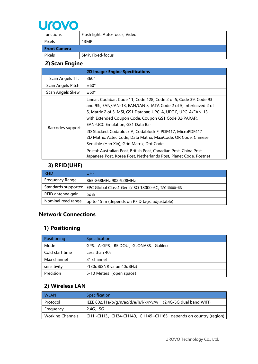

| functions           | Flash light, Auto-focus, Video |
|---------------------|--------------------------------|
| Pixels              | 13MP                           |
| <b>Front Camera</b> |                                |
| Pixels              | 5MP, Fixed-focus,              |

## **2) Scan Engine**

|                   | <b>2D Imager Engine Specifications</b>                                                                                                                                                                                                                                                                                                                                                                                                                                                                                                                                                                                             |
|-------------------|------------------------------------------------------------------------------------------------------------------------------------------------------------------------------------------------------------------------------------------------------------------------------------------------------------------------------------------------------------------------------------------------------------------------------------------------------------------------------------------------------------------------------------------------------------------------------------------------------------------------------------|
| Scan Angels Tilt  | 360°                                                                                                                                                                                                                                                                                                                                                                                                                                                                                                                                                                                                                               |
| Scan Angels Pitch | $±60^{\circ}$                                                                                                                                                                                                                                                                                                                                                                                                                                                                                                                                                                                                                      |
| Scan Angels Skew  | $\pm 60^{\circ}$                                                                                                                                                                                                                                                                                                                                                                                                                                                                                                                                                                                                                   |
| Barcodes support  | Linear: Codabar, Code 11, Code 128, Code 2 of 5, Code 39, Code 93<br>and 93i, EAN/JAN-13, EAN/JAN 8, IATA Code 2 of 5, Interleaved 2 of<br>5, Matrix 2 of 5, MSI, GS1 Databar, UPC-A, UPC E, UPC-A/EAN-13<br>with Extended Coupon Code, Coupon GS1 Code 32(PARAF),<br><b>EAN-UCC Emulation, GS1 Data Bar</b><br>2D Stacked: Codablock A, Codablock F, PDF417, MicroPDF417<br>2D Matrix: Aztec Code, Data Matrix, MaxiCode, QR Code, Chinese<br>Sensible (Han Xin), Grid Matrix, Dot Code<br>Postal: Australian Post, British Post, Canadian Post, China Post,<br>Japanese Post, Korea Post, Netherlands Post, Planet Code, Postnet |

# **3) RFID(UHF)**

| <b>RFID</b>            | <b>UHF</b>                                                           |
|------------------------|----------------------------------------------------------------------|
| <b>Frequency Range</b> | 865-868MHz,902-928MHz                                                |
|                        | Standards supported EPC Global Class1 Gen2/ISO 18000-6C, IS018000-6B |
| RFID antenna gain      | 5dBi                                                                 |
| Nominal read range     | up to 15 m (depends on RFID tags, adjustable)                        |

#### **Network Connections**

## **1) Positioning**

| Positioning     | Specification                    |
|-----------------|----------------------------------|
| Mode            | GPS、A-GPS、BEIDOU、GLONASS、Galileo |
| Cold start time | Less than 40s                    |
| Max channel     | 31 channel                       |
| sensitivity     | -130dB(SNR value 40dBHz)         |
| Precision       | 5-10 Meters (open space)         |

#### **2) Wireless LAN**

| <b>WLAN</b>             | Specification                                                  |
|-------------------------|----------------------------------------------------------------|
| Protocol                | IEEE 802.11a/b/g/n/ac/d/e/h/i/k/r/v/w (2.4G/5G dual band WIFI) |
| Freguency               | 2.4G, 5G                                                       |
| <b>Working Channels</b> | CH1~CH13, CH34-CH140, CH149~CH165, depends on country (region) |